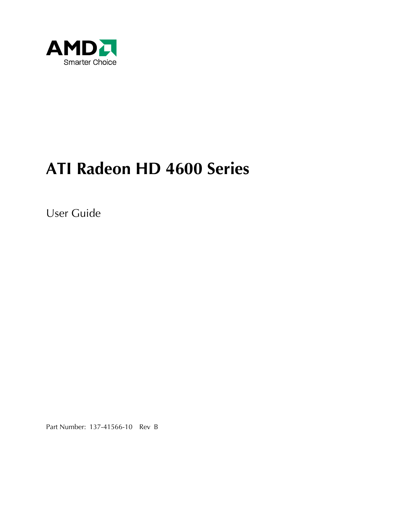

# **ATI Radeon HD 4600 Series**

User Guide

Part Number: 137-41566-10 Rev B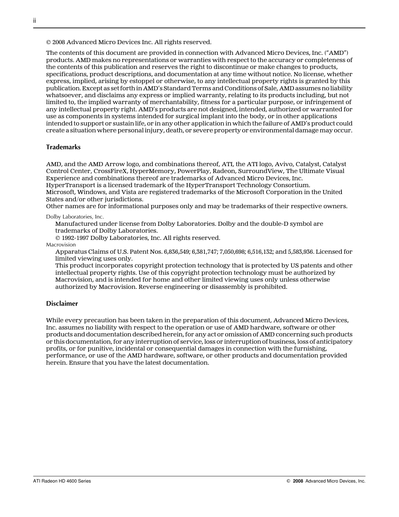© 2008 Advanced Micro Devices Inc. All rights reserved.

The contents of this document are provided in connection with Advanced Micro Devices, Inc. ("AMD") products. AMD makes no representations or warranties with respect to the accuracy or completeness of the contents of this publication and reserves the right to discontinue or make changes to products, specifications, product descriptions, and documentation at any time without notice. No license, whether express, implied, arising by estoppel or otherwise, to any intellectual property rights is granted by this publication. Except as set forth in AMD's Standard Terms and Conditions of Sale, AMD assumes no liability whatsoever, and disclaims any express or implied warranty, relating to its products including, but not limited to, the implied warranty of merchantability, fitness for a particular purpose, or infringement of any intellectual property right. AMD's products are not designed, intended, authorized or warranted for use as components in systems intended for surgical implant into the body, or in other applications intended to support or sustain life, or in any other application in which the failure of AMD's product could create a situation where personal injury, death, or severe property or environmental damage may occur.

#### **Trademarks**

AMD, and the AMD Arrow logo, and combinations thereof, ATI, the ATI logo, Avivo, Catalyst, Catalyst Control Center, CrossFireX, HyperMemory, PowerPlay, Radeon, SurroundView, The Ultimate Visual Experience and combinations thereof are trademarks of Advanced Micro Devices, Inc.

HyperTransport is a licensed trademark of the HyperTransport Technology Consortium.

Microsoft, Windows, and Vista are registered trademarks of the Microsoft Corporation in the United States and/or other jurisdictions.

Other names are for informational purposes only and may be trademarks of their respective owners.

Dolby Laboratories, Inc.

Manufactured under license from Dolby Laboratories. Dolby and the double-D symbol are trademarks of Dolby Laboratories.

© 1992-1997 Dolby Laboratories, Inc. All rights reserved.

Macrovision

Apparatus Claims of U.S. Patent Nos. 6,836,549; 6,381,747; 7,050,698; 6,516,132; and 5,583,936. Licensed for limited viewing uses only.

This product incorporates copyright protection technology that is protected by US patents and other intellectual property rights. Use of this copyright protection technology must be authorized by Macrovision, and is intended for home and other limited viewing uses only unless otherwise authorized by Macrovision. Reverse engineering or disassembly is prohibited.

#### **Disclaimer**

While every precaution has been taken in the preparation of this document, Advanced Micro Devices, Inc. assumes no liability with respect to the operation or use of AMD hardware, software or other products and documentation described herein, for any act or omission of AMD concerning such products or this documentation, for any interruption of service, loss or interruption of business, loss of anticipatory profits, or for punitive, incidental or consequential damages in connection with the furnishing, performance, or use of the AMD hardware, software, or other products and documentation provided herein. Ensure that you have the latest documentation.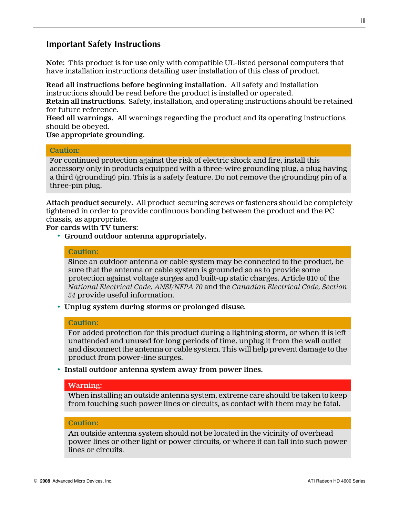#### **Important Safety Instructions**

**Note:** This product is for use only with compatible UL-listed personal computers that have installation instructions detailing user installation of this class of product.

**Read all instructions before beginning installation.** All safety and installation instructions should be read before the product is installed or operated.

**Retain all instructions.** Safety, installation, and operating instructions should be retained for future reference.

**Heed all warnings.** All warnings regarding the product and its operating instructions should be obeyed.

#### **Use appropriate grounding.**

#### **Caution:**

For continued protection against the risk of electric shock and fire, install this accessory only in products equipped with a three-wire grounding plug, a plug having a third (grounding) pin. This is a safety feature. Do not remove the grounding pin of a three-pin plug.

**Attach product securely.** All product-securing screws or fasteners should be completely tightened in order to provide continuous bonding between the product and the PC chassis, as appropriate.

**For cards with TV tuners:**

• **Ground outdoor antenna appropriately.**

#### **Caution:**

Since an outdoor antenna or cable system may be connected to the product, be sure that the antenna or cable system is grounded so as to provide some protection against voltage surges and built-up static charges. Article 810 of the *National Electrical Code, ANSI/NFPA 70* and the *Canadian Electrical Code, Section 54* provide useful information.

• **Unplug system during storms or prolonged disuse.**

#### **Caution:**

For added protection for this product during a lightning storm, or when it is left unattended and unused for long periods of time, unplug it from the wall outlet and disconnect the antenna or cable system. This will help prevent damage to the product from power-line surges.

• **Install outdoor antenna system away from power lines.**

#### **Warning:**

When installing an outside antenna system, extreme care should be taken to keep from touching such power lines or circuits, as contact with them may be fatal.

#### **Caution:**

An outside antenna system should not be located in the vicinity of overhead power lines or other light or power circuits, or where it can fall into such power lines or circuits.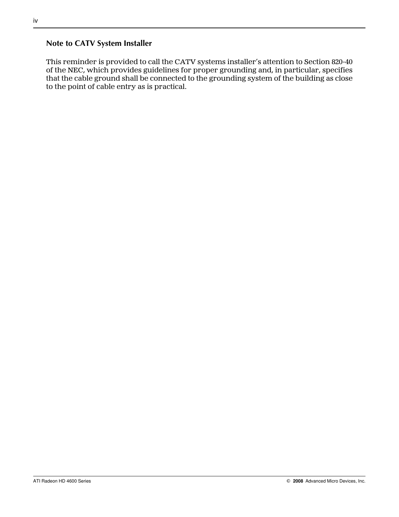#### **Note to CATV System Installer**

This reminder is provided to call the CATV systems installer's attention to Section 820-40 of the NEC, which provides guidelines for proper grounding and, in particular, specifies that the cable ground shall be connected to the grounding system of the building as close to the point of cable entry as is practical.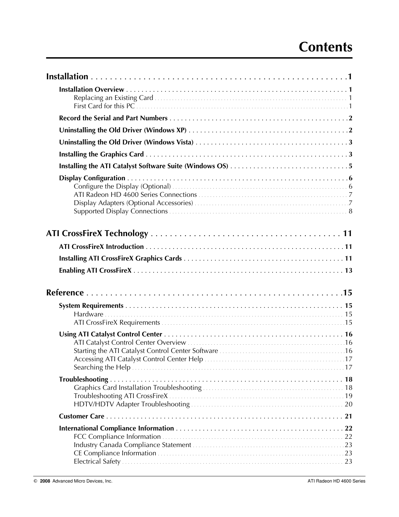# **Contents**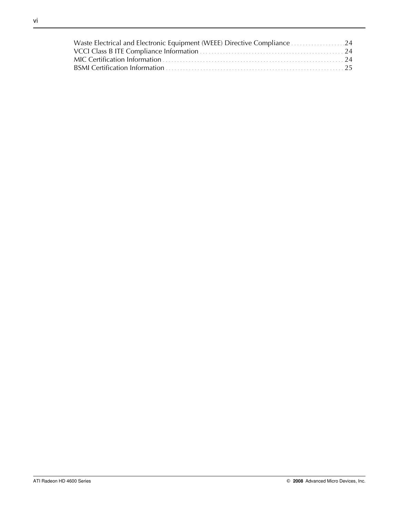| Waste Electrical and Electronic Equipment (WEEE) Directive Compliance 24 |  |
|--------------------------------------------------------------------------|--|
|                                                                          |  |
|                                                                          |  |
|                                                                          |  |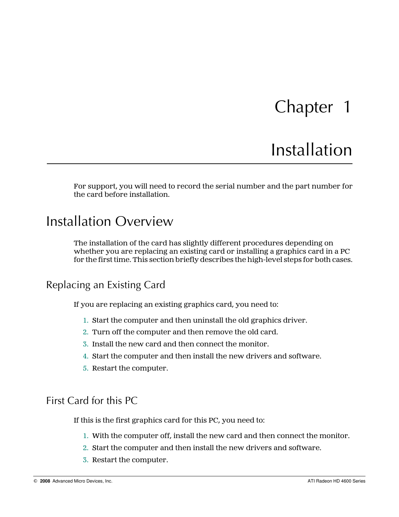# Chapter 1

# Installation

<span id="page-6-0"></span>For support, you will need to record the serial number and the part number for the card before installation.

## Installation Overview

The installation of the card has slightly different procedures depending on whether you are replacing an existing card or installing a graphics card in a PC for the first time. This section briefly describes the high-level steps for both cases.

### Replacing an Existing Card

If you are replacing an existing graphics card, you need to:

- 1. Start the computer and then uninstall the old graphics driver.
- 2. Turn off the computer and then remove the old card.
- 3. Install the new card and then connect the monitor.
- 4. Start the computer and then install the new drivers and software.
- 5. Restart the computer.

### First Card for this PC

If this is the first graphics card for this PC, you need to:

- 1. With the computer off, install the new card and then connect the monitor.
- 2. Start the computer and then install the new drivers and software.
- 3. Restart the computer.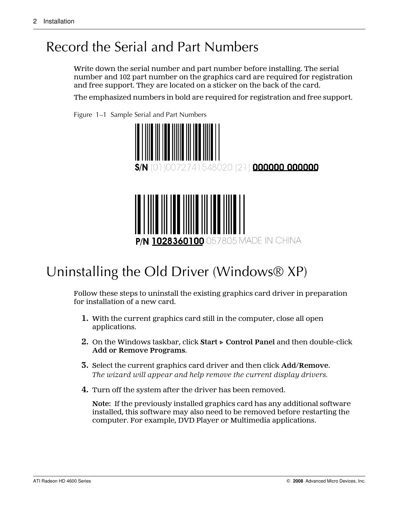# <span id="page-7-0"></span>Record the Serial and Part Numbers

Write down the serial number and part number before installing. The serial number and 102 part number on the graphics card are required for registration and free support. They are located on a sticker on the back of the card.

The emphasized numbers in bold are required for registration and free support.



Figure 1–1 Sample Serial and Part Numbers

# Uninstalling the Old Driver (Windows® XP)

Follow these steps to uninstall the existing graphics card driver in preparation for installation of a new card.

- **1.** With the current graphics card still in the computer, close all open applications.
- **2.** On the Windows taskbar, click **Start ▷ Control Panel** and then double-click **Add or Remove Programs**.
- **3.** Select the current graphics card driver and then click **Add/Remove**. *The wizard will appear and help remove the current display drivers.*
- **4.** Turn off the system after the driver has been removed.

**Note:** If the previously installed graphics card has any additional software installed, this software may also need to be removed before restarting the computer. For example, DVD Player or Multimedia applications.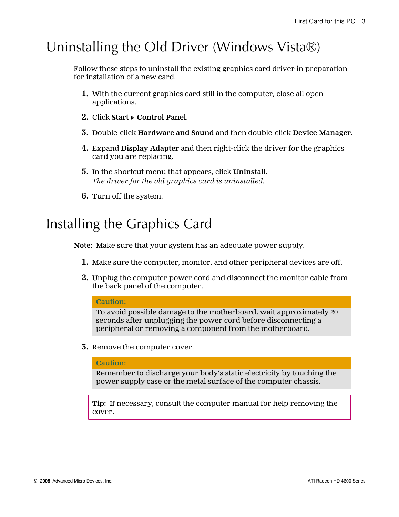# <span id="page-8-0"></span>Uninstalling the Old Driver (Windows Vista®)

Follow these steps to uninstall the existing graphics card driver in preparation for installation of a new card.

- **1.** With the current graphics card still in the computer, close all open applications.
- **2.** Click **Start ▷ Control Panel**.
- **3.** Double-click **Hardware and Sound** and then double-click **Device Manager**.
- **4.** Expand **Display Adapter** and then right-click the driver for the graphics card you are replacing.
- **5.** In the shortcut menu that appears, click **Uninstall**. *The driver for the old graphics card is uninstalled.*
- **6.** Turn off the system.

# Installing the Graphics Card

**Note:** Make sure that your system has an adequate power supply.

- **1.** Make sure the computer, monitor, and other peripheral devices are off.
- **2.** Unplug the computer power cord and disconnect the monitor cable from the back panel of the computer.

#### **Caution:**

To avoid possible damage to the motherboard, wait approximately 20 seconds after unplugging the power cord before disconnecting a peripheral or removing a component from the motherboard.

**3.** Remove the computer cover.

#### **Caution:**

Remember to discharge your body's static electricity by touching the power supply case or the metal surface of the computer chassis.

**Tip:** If necessary, consult the computer manual for help removing the cover.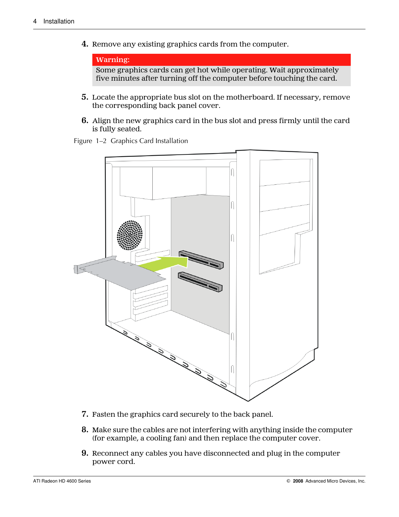**4.** Remove any existing graphics cards from the computer.

```
Warning:
Some graphics cards can get hot while operating. Wait approximately
five minutes after turning off the computer before touching the card.
```
- **5.** Locate the appropriate bus slot on the motherboard. If necessary, remove the corresponding back panel cover.
- **6.** Align the new graphics card in the bus slot and press firmly until the card is fully seated.

Figure 1–2 Graphics Card Installation



- **7.** Fasten the graphics card securely to the back panel.
- **8.** Make sure the cables are not interfering with anything inside the computer (for example, a cooling fan) and then replace the computer cover.
- **9.** Reconnect any cables you have disconnected and plug in the computer power cord.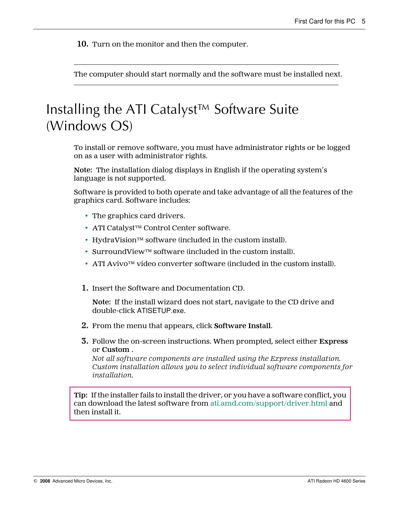<span id="page-10-0"></span>**10.** Turn on the monitor and then the computer.

The computer should start normally and the software must be installed next.

# Installing the ATI Catalyst™ Software Suite (Windows OS)

To install or remove software, you must have administrator rights or be logged on as a user with administrator rights.

**Note:** The installation dialog displays in English if the operating system's language is not supported.

Software is provided to both operate and take advantage of all the features of the graphics card. Software includes:

- The graphics card drivers.
- ATI Catalyst™ Control Center software.
- HydraVision™ software (included in the custom install).
- SurroundView™ software (included in the custom install).
- ATI Avivo™ video converter software (included in the custom install).
- **1.** Insert the Software and Documentation CD.

**Note:** If the install wizard does not start, navigate to the CD drive and double-click ATISETUP.exe.

- **2.** From the menu that appears, click **Software Install**.
- **3.** Follow the on-screen instructions. When prompted, select either **Express** or **Custom** .

*Not all software components are installed using the Express installation. Custom installation allows you to select individual software components for installation.*

**Tip:** If the installer fails to install the driver, or you have a software conflict, you can download the latest software from [ati.amd.com/support/driver.html](http://ati.amd.com/support/driver.html) and then install it.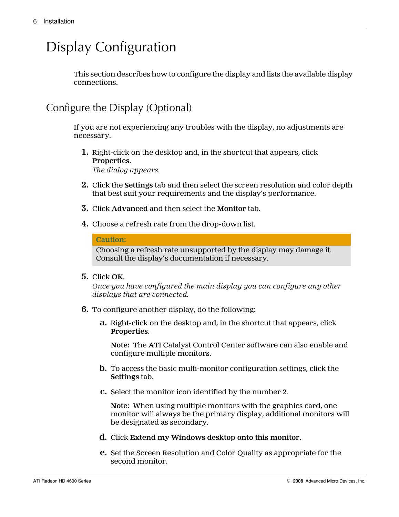# <span id="page-11-0"></span>Display Configuration

This section describes how to configure the display and lists the available display connections.

## Configure the Display (Optional)

If you are not experiencing any troubles with the display, no adjustments are necessary.

- **1.** Right-click on the desktop and, in the shortcut that appears, click **Properties**. *The dialog appears.*
- **2.** Click the **Settings** tab and then select the screen resolution and color depth that best suit your requirements and the display's performance.
- **3.** Click **Advanced** and then select the **Monitor** tab.
- **4.** Choose a refresh rate from the drop-down list.

**Caution:**

Choosing a refresh rate unsupported by the display may damage it. Consult the display's documentation if necessary.

**5.** Click **OK**.

*Once you have configured the main display you can configure any other displays that are connected.*

- **6.** To configure another display, do the following:
	- **a.** Right-click on the desktop and, in the shortcut that appears, click **Properties**.

**Note:** The ATI Catalyst Control Center software can also enable and configure multiple monitors.

- **b.** To access the basic multi-monitor configuration settings, click the **Settings** tab.
- **c.** Select the monitor icon identified by the number **2**.

**Note:** When using multiple monitors with the graphics card, one monitor will always be the primary display, additional monitors will be designated as secondary.

- **d.** Click **Extend my Windows desktop onto this monitor**.
- **e.** Set the Screen Resolution and Color Quality as appropriate for the second monitor.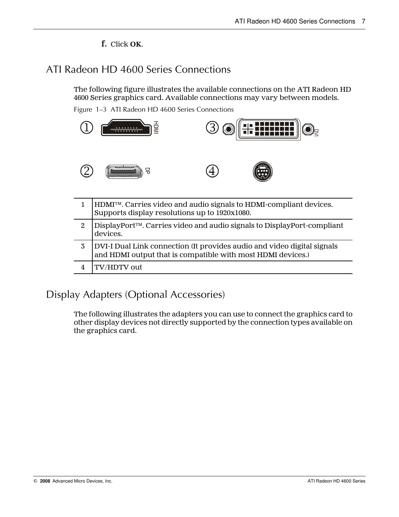#### **f.** Click **OK**.

## <span id="page-12-0"></span>ATI Radeon HD 4600 Series Connections

The following figure illustrates the available connections on the ATI Radeon HD 4600 Series graphics card. Available connections may vary between models.

Figure 1–3 ATI Radeon HD 4600 Series Connections



|   | HDMI™. Carries video and audio signals to HDMI-compliant devices.<br>Supports display resolutions up to 1920x1080.                     |
|---|----------------------------------------------------------------------------------------------------------------------------------------|
| 2 | DisplayPort™. Carries video and audio signals to DisplayPort-compliant<br>devices.                                                     |
|   | DVI-I Dual Link connection (It provides audio and video digital signals<br>and HDMI output that is compatible with most HDMI devices.) |
|   | TV/HDTV out                                                                                                                            |

### Display Adapters (Optional Accessories)

The following illustrates the adapters you can use to connect the graphics card to other display devices not directly supported by the connection types available on the graphics card.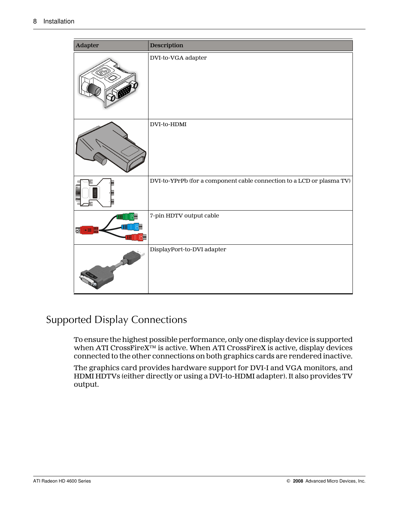<span id="page-13-0"></span>

| Adapter     | <b>Description</b>                                                    |
|-------------|-----------------------------------------------------------------------|
|             | DVI-to-VGA adapter                                                    |
|             | DVI-to-HDMI                                                           |
|             | DVI-to-YPrPb (for a component cable connection to a LCD or plasma TV) |
| $\Box$<br>專 | 7-pin HDTV output cable                                               |
|             | DisplayPort-to-DVI adapter                                            |

## Supported Display Connections

To ensure the highest possible performance, only one display device is supported when ATI CrossFireX™ is active. When ATI CrossFireX is active, display devices connected to the other connections on both graphics cards are rendered inactive.

The graphics card provides hardware support for DVI-I and VGA monitors, and HDMI HDTVs (either directly or using a DVI-to-HDMI adapter). It also provides TV output.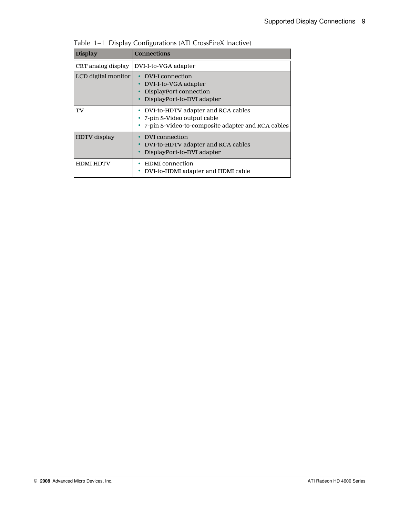| <b>Display</b>      | <b>Connections</b>                                                                                                      |
|---------------------|-------------------------------------------------------------------------------------------------------------------------|
| CRT analog display  | DVI-I-to-VGA adapter                                                                                                    |
| LCD digital monitor | DVI-I connection<br>$\bullet$<br>DVI-I-to-VGA adapter<br>٠<br>DisplayPort connection<br>DisplayPort-to-DVI adapter      |
| TV                  | DVI-to-HDTV adapter and RCA cables<br>• 7-pin S-Video output cable<br>7-pin S-Video-to-composite adapter and RCA cables |
| <b>HDTV</b> display | DVI connection<br>DVI-to-HDTV adapter and RCA cables<br>DisplayPort-to-DVI adapter                                      |
| <b>HDMI HDTV</b>    | <b>HDMI</b> connection<br>DVI-to-HDMI adapter and HDMI cable                                                            |

|  |  | Table 1-1 Display Configurations (ATI CrossFireX Inactive) |  |  |  |
|--|--|------------------------------------------------------------|--|--|--|
|--|--|------------------------------------------------------------|--|--|--|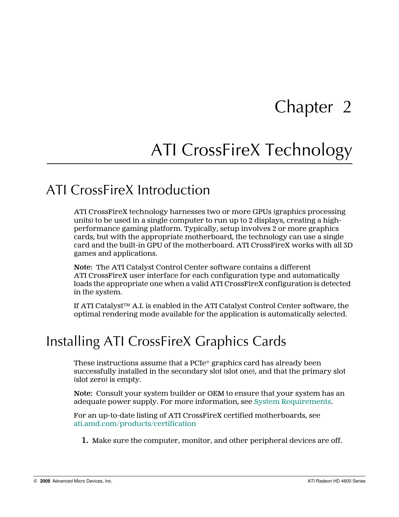# Chapter 2

# ATI CrossFireX Technology

## <span id="page-16-0"></span>ATI CrossFireX Introduction

ATI CrossFireX technology harnesses two or more GPUs (graphics processing units) to be used in a single computer to run up to 2 displays, creating a highperformance gaming platform. Typically, setup involves 2 or more graphics cards, but with the appropriate motherboard, the technology can use a single card and the built-in GPU of the motherboard. ATI CrossFireX works with all 3D games and applications.

**Note:** The ATI Catalyst Control Center software contains a different ATI CrossFireX user interface for each configuration type and automatically loads the appropriate one when a valid ATI CrossFireX configuration is detected in the system.

If ATI Catalyst™ A.I. is enabled in the ATI Catalyst Control Center software, the optimal rendering mode available for the application is automatically selected.

# Installing ATI CrossFireX Graphics Cards

These instructions assume that a  $PCIe^{\circ}$  graphics card has already been successfully installed in the secondary slot (slot one), and that the primary slot (slot zero) is empty.

**Note:** Consult your system builder or OEM to ensure that your system has an adequate power supply. For more information, see [System Requirements](#page-20-0).

For an up-to-date listing of ATI CrossFireX certified motherboards, see [ati.amd.com/products/certification](http://ati.amd.com/products/certification)

**1.** Make sure the computer, monitor, and other peripheral devices are off.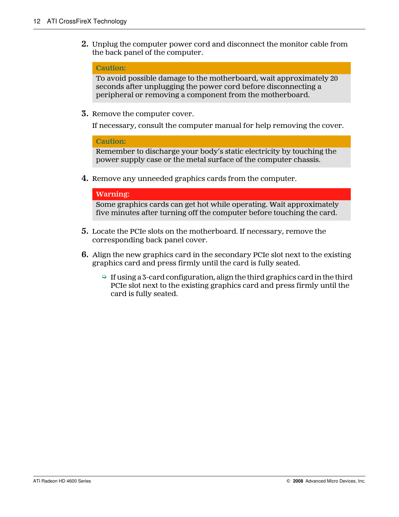**2.** Unplug the computer power cord and disconnect the monitor cable from the back panel of the computer.

#### **Caution:**

To avoid possible damage to the motherboard, wait approximately 20 seconds after unplugging the power cord before disconnecting a peripheral or removing a component from the motherboard.

**3.** Remove the computer cover.

If necessary, consult the computer manual for help removing the cover.

**Caution:**

Remember to discharge your body's static electricity by touching the power supply case or the metal surface of the computer chassis.

**4.** Remove any unneeded graphics cards from the computer.

#### **Warning:**

Some graphics cards can get hot while operating. Wait approximately five minutes after turning off the computer before touching the card.

- **5.** Locate the PCIe slots on the motherboard. If necessary, remove the corresponding back panel cover.
- **6.** Align the new graphics card in the secondary PCIe slot next to the existing graphics card and press firmly until the card is fully seated.
	- $\Rightarrow$  If using a 3-card configuration, align the third graphics card in the third PCIe slot next to the existing graphics card and press firmly until the card is fully seated.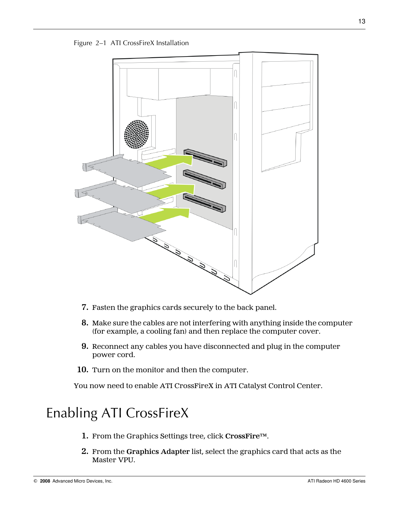<span id="page-18-0"></span>



- **7.** Fasten the graphics cards securely to the back panel.
- **8.** Make sure the cables are not interfering with anything inside the computer (for example, a cooling fan) and then replace the computer cover.
- **9.** Reconnect any cables you have disconnected and plug in the computer power cord.
- **10.** Turn on the monitor and then the computer.

You now need to enable ATI CrossFireX in ATI Catalyst Control Center.

# Enabling ATI CrossFireX

- **1.** From the Graphics Settings tree, click **CrossFire™**.
- **2.** From the **Graphics Adapter** list, select the graphics card that acts as the Master VPU.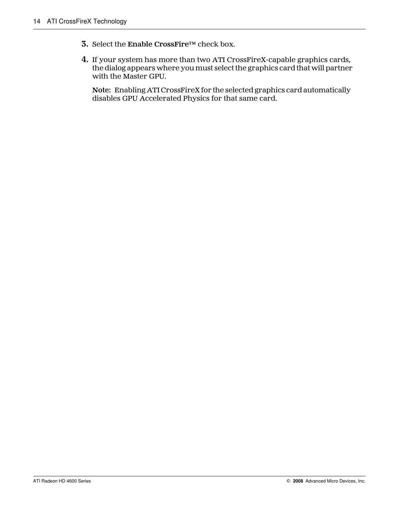- **3.** Select the **Enable CrossFire™** check box.
- **4.** If your system has more than two ATI CrossFireX-capable graphics cards, the dialog appears where you must select the graphics card that will partner with the Master GPU.

**Note:** Enabling ATI CrossFireX for the selected graphics card automatically disables GPU Accelerated Physics for that same card.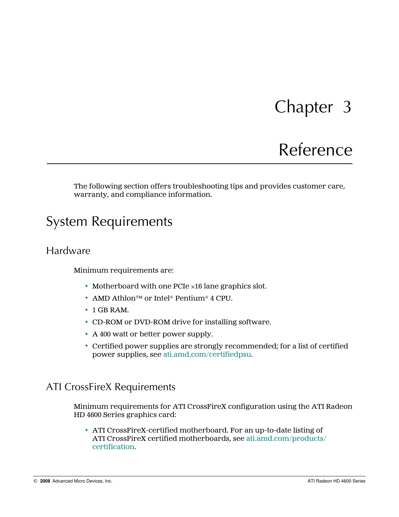# Chapter 3

# Reference

<span id="page-20-0"></span>The following section offers troubleshooting tips and provides customer care, warranty, and compliance information.

# System Requirements

### Hardware

Minimum requirements are:

- Motherboard with one PCIe ×16 lane graphics slot.
- AMD Athlon™ or Intel® Pentium® 4 CPU.
- 1 GB RAM.
- CD-ROM or DVD-ROM drive for installing software.
- A 400 watt or better power supply.
- Certified power supplies are strongly recommended; for a list of certified power supplies, see [ati.amd.com/certifiedpsu.](http://ati.amd.com/certifiedpsu)

### ATI CrossFireX Requirements

Minimum requirements for ATI CrossFireX configuration using the ATI Radeon HD 4600 Series graphics card:

• ATI CrossFireX-certified motherboard. For an up-to-date listing of ATI CrossFireX certified motherboards, see [ati.amd.com/products/](http://ati.amd.com/products/certification) [certification](http://ati.amd.com/products/certification).

© 2008 Advanced Micro Devices, Inc. ATI Radeon HD 4600 Series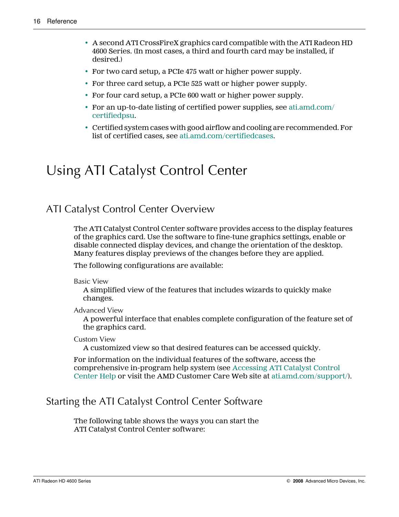- <span id="page-21-0"></span>• A second ATI CrossFireX graphics card compatible with the ATI Radeon HD 4600 Series. (In most cases, a third and fourth card may be installed, if desired.)
- For two card setup, a PCIe 475 watt or higher power supply.
- For three card setup, a PCIe 525 watt or higher power supply.
- For four card setup, a PCIe 600 watt or higher power supply.
- For an up-to-date listing of certified power supplies, see [ati.amd.com/](http://ati.amd.com/certifiedpsu) [certifiedpsu](http://ati.amd.com/certifiedpsu).
- Certified system cases with good airflow and cooling are recommended. For list of certified cases, see [ati.amd.com/certifiedcases.](http://ati.amd.com/certifiedcases)

# Using ATI Catalyst Control Center

### ATI Catalyst Control Center Overview

The ATI Catalyst Control Center software provides access to the display features of the graphics card. Use the software to fine-tune graphics settings, enable or disable connected display devices, and change the orientation of the desktop. Many features display previews of the changes before they are applied.

The following configurations are available:

Basic View

A simplified view of the features that includes wizards to quickly make changes.

Advanced View

A powerful interface that enables complete configuration of the feature set of the graphics card.

Custom View

A customized view so that desired features can be accessed quickly.

For information on the individual features of the software, access the comprehensive in-program help system (see [Accessing ATI Catalyst Control](#page-22-0) [Center Help](#page-22-0) or visit the AMD Customer Care Web site at ati.amd.com/support/).

### Starting the ATI Catalyst Control Center Software

The following table shows the ways you can start the ATI Catalyst Control Center software: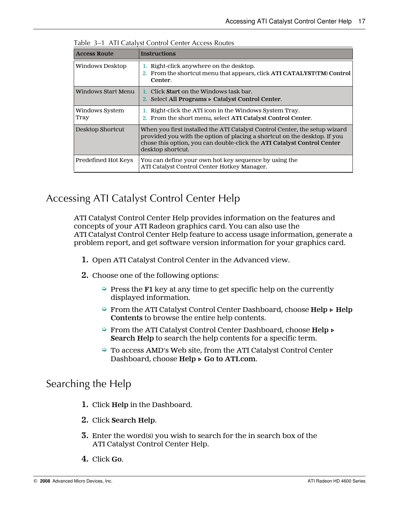| <b>Access Route</b>    | <b>Instructions</b>                                                                                                                                                                                                                                     |
|------------------------|---------------------------------------------------------------------------------------------------------------------------------------------------------------------------------------------------------------------------------------------------------|
| Windows Desktop        | 1. Right-click anywhere on the desktop.<br>2. From the shortcut menu that appears, click ATI CATALYST(TM) Control<br>Center.                                                                                                                            |
| Windows Start Menu     | 1. Click <b>Start</b> on the Windows task bar.<br>2. Select All Programs $\triangleright$ Catalyst Control Center.                                                                                                                                      |
| Windows System<br>Tray | 1. Right-click the ATI icon in the Windows System Tray.<br>2. From the short menu, select ATI Catalyst Control Center.                                                                                                                                  |
| Desktop Shortcut       | When you first installed the ATI Catalyst Control Center, the setup wizard<br>provided you with the option of placing a shortcut on the desktop. If you<br>chose this option, you can double-click the ATI Catalyst Control Center<br>desktop shortcut. |
| Predefined Hot Keys    | You can define your own hot key sequence by using the<br>ATI Catalyst Control Center Hotkey Manager.                                                                                                                                                    |

<span id="page-22-0"></span>Table 3–1 ATI Catalyst Control Center Access Routes

## Accessing ATI Catalyst Control Center Help

ATI Catalyst Control Center Help provides information on the features and concepts of your ATI Radeon graphics card. You can also use the ATI Catalyst Control Center Help feature to access usage information, generate a problem report, and get software version information for your graphics card.

- **1.** Open ATI Catalyst Control Center in the Advanced view.
- **2.** Choose one of the following options:
	- ➭ Press the **F1** key at any time to get specific help on the currently displayed information.
	- ➭ From the ATI Catalyst Control Center Dashboard, choose **Help ▷ Help Contents** to browse the entire help contents.
	- ➭ From the ATI Catalyst Control Center Dashboard, choose **Help ▷ Search Help** to search the help contents for a specific term.
	- ➭ To access AMD's Web site, from the ATI Catalyst Control Center Dashboard, choose **Help ▷ Go to ATI.com**.

### Searching the Help

- **1.** Click **Help** in the Dashboard.
- **2.** Click **Search Help**.
- **3.** Enter the word(s) you wish to search for the in search box of the ATI Catalyst Control Center Help.
- **4.** Click **Go**.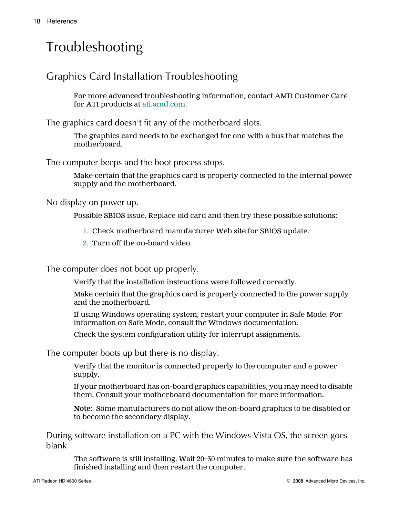# <span id="page-23-0"></span>Troubleshooting

## Graphics Card Installation Troubleshooting

For more advanced troubleshooting information, contact AMD Customer Care for ATI products at [ati.amd.com](http://ati.amd.com).

The graphics card doesn't fit any of the motherboard slots.

The graphics card needs to be exchanged for one with a bus that matches the motherboard.

The computer beeps and the boot process stops.

Make certain that the graphics card is properly connected to the internal power supply and the motherboard.

No display on power up.

Possible SBIOS issue. Replace old card and then try these possible solutions:

- 1. Check motherboard manufacturer Web site for SBIOS update.
- 2. Turn off the on-board video.

The computer does not boot up properly.

Verify that the installation instructions were followed correctly.

Make certain that the graphics card is properly connected to the power supply and the motherboard.

If using Windows operating system, restart your computer in Safe Mode. For information on Safe Mode, consult the Windows documentation.

Check the system configuration utility for interrupt assignments.

The computer boots up but there is no display.

Verify that the monitor is connected properly to the computer and a power supply.

If your motherboard has on-board graphics capabilities, you may need to disable them. Consult your motherboard documentation for more information.

**Note:** Some manufacturers do not allow the on-board graphics to be disabled or to become the secondary display.

During software installation on a PC with the Windows Vista OS, the screen goes blank

The software is still installing. Wait 20–30 minutes to make sure the software has finished installing and then restart the computer.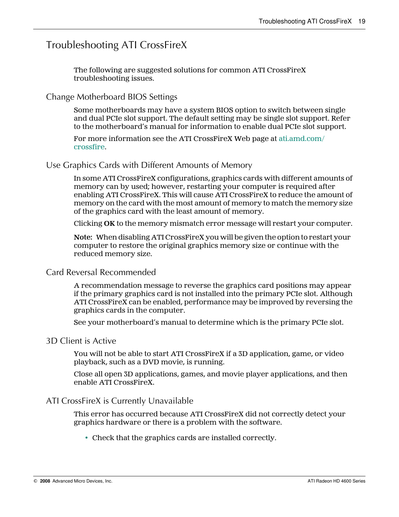### <span id="page-24-0"></span>Troubleshooting ATI CrossFireX

The following are suggested solutions for common ATI CrossFireX troubleshooting issues.

#### Change Motherboard BIOS Settings

Some motherboards may have a system BIOS option to switch between single and dual PCIe slot support. The default setting may be single slot support. Refer to the motherboard's manual for information to enable dual PCIe slot support.

For more information see the ATI CrossFireX Web page at [ati.amd.com/](http://ati.amd.com/crossfire) [crossfire.](http://ati.amd.com/crossfire)

#### Use Graphics Cards with Different Amounts of Memory

In some ATI CrossFireX configurations, graphics cards with different amounts of memory can by used; however, restarting your computer is required after enabling ATI CrossFireX. This will cause ATI CrossFireX to reduce the amount of memory on the card with the most amount of memory to match the memory size of the graphics card with the least amount of memory.

Clicking **OK** to the memory mismatch error message will restart your computer.

**Note:** When disabling ATI CrossFireX you will be given the option to restart your computer to restore the original graphics memory size or continue with the reduced memory size.

#### Card Reversal Recommended

A recommendation message to reverse the graphics card positions may appear if the primary graphics card is not installed into the primary PCIe slot. Although ATI CrossFireX can be enabled, performance may be improved by reversing the graphics cards in the computer.

See your motherboard's manual to determine which is the primary PCIe slot.

#### 3D Client is Active

You will not be able to start ATI CrossFireX if a 3D application, game, or video playback, such as a DVD movie, is running.

Close all open 3D applications, games, and movie player applications, and then enable ATI CrossFireX.

#### ATI CrossFireX is Currently Unavailable

This error has occurred because ATI CrossFireX did not correctly detect your graphics hardware or there is a problem with the software.

• Check that the graphics cards are installed correctly.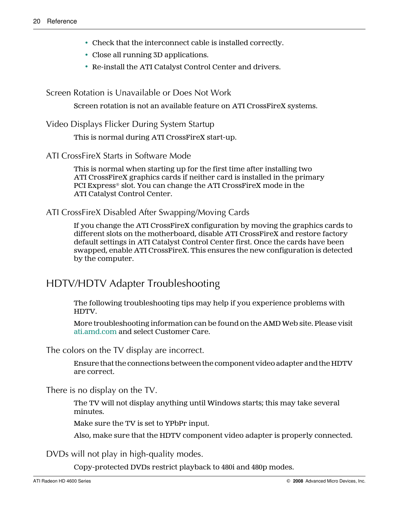- <span id="page-25-0"></span>• Check that the interconnect cable is installed correctly.
- Close all running 3D applications.
- Re-install the ATI Catalyst Control Center and drivers.

Screen Rotation is Unavailable or Does Not Work

Screen rotation is not an available feature on ATI CrossFireX systems.

Video Displays Flicker During System Startup

This is normal during ATI CrossFireX start-up.

ATI CrossFireX Starts in Software Mode

This is normal when starting up for the first time after installing two ATI CrossFireX graphics cards if neither card is installed in the primary PCI Express® slot. You can change the ATI CrossFireX mode in the ATI Catalyst Control Center.

ATI CrossFireX Disabled After Swapping/Moving Cards

If you change the ATI CrossFireX configuration by moving the graphics cards to different slots on the motherboard, disable ATI CrossFireX and restore factory default settings in ATI Catalyst Control Center first. Once the cards have been swapped, enable ATI CrossFireX. This ensures the new configuration is detected by the computer.

### HDTV/HDTV Adapter Troubleshooting

The following troubleshooting tips may help if you experience problems with HDTV.

More troubleshooting information can be found on the AMD Web site. Please visit [ati.amd.com](http://ati.amd.com) and select Customer Care.

The colors on the TV display are incorrect.

Ensure that the connections between the component video adapter and the HDTV are correct.

There is no display on the TV.

The TV will not display anything until Windows starts; this may take several minutes.

Make sure the TV is set to YPbPr input.

Also, make sure that the HDTV component video adapter is properly connected.

DVDs will not play in high-quality modes.

Copy-protected DVDs restrict playback to 480i and 480p modes.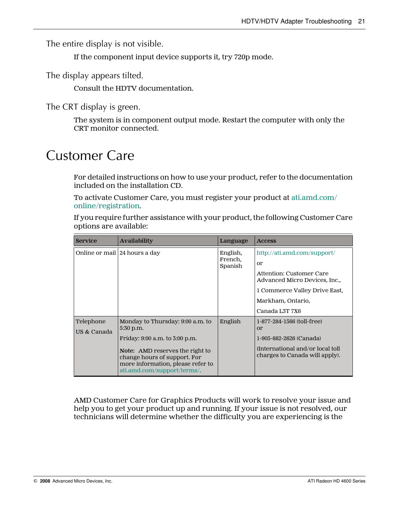<span id="page-26-0"></span>The entire display is not visible.

If the component input device supports it, try 720p mode.

The display appears tilted.

Consult the HDTV documentation.

The CRT display is green.

The system is in component output mode. Restart the computer with only the CRT monitor connected.

## Customer Care

For detailed instructions on how to use your product, refer to the documentation included on the installation CD.

To activate Customer Care, you must register your product at [ati.amd.com/](http://www.ati.amd.com/online/registration) [online/registration](http://www.ati.amd.com/online/registration).

If you require further assistance with your product, the following Customer Care options are available:

| <b>Service</b>           | <b>Availability</b>                                                                                                                                                                                                           | Language                       | <b>Access</b>                                                                                                                                        |
|--------------------------|-------------------------------------------------------------------------------------------------------------------------------------------------------------------------------------------------------------------------------|--------------------------------|------------------------------------------------------------------------------------------------------------------------------------------------------|
|                          | Online or mail   24 hours a day                                                                                                                                                                                               | English,<br>French,<br>Spanish | http://ati.amd.com/support/<br>or<br>Attention: Customer Care<br>Advanced Micro Devices, Inc.,<br>1 Commerce Valley Drive East,<br>Markham, Ontario, |
| Telephone<br>US & Canada | Monday to Thursday: 9:00 a.m. to<br>5:30 p.m.<br>Friday: 9:00 a.m. to 3:00 p.m.<br><b>Note:</b> AMD reserves the right to<br>change hours of support. For<br>more information, please refer to<br>ati.amd.com/support/terms/. | English                        | Canada L3T 7X6<br>1-877-284-1566 (toll-free)<br>or<br>1-905-882-2626 (Canada)<br>(International and/or local toll)<br>charges to Canada will apply). |

AMD Customer Care for Graphics Products will work to resolve your issue and help you to get your product up and running. If your issue is not resolved, our technicians will determine whether the difficulty you are experiencing is the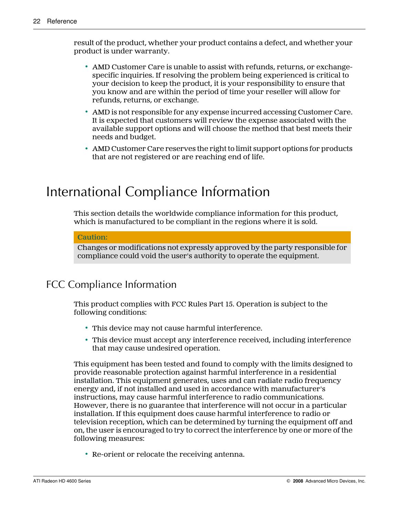<span id="page-27-0"></span>result of the product, whether your product contains a defect, and whether your product is under warranty.

- AMD Customer Care is unable to assist with refunds, returns, or exchangespecific inquiries. If resolving the problem being experienced is critical to your decision to keep the product, it is your responsibility to ensure that you know and are within the period of time your reseller will allow for refunds, returns, or exchange.
- AMD is not responsible for any expense incurred accessing Customer Care. It is expected that customers will review the expense associated with the available support options and will choose the method that best meets their needs and budget.
- AMD Customer Care reserves the right to limit support options for products that are not registered or are reaching end of life.

# International Compliance Information

This section details the worldwide compliance information for this product, which is manufactured to be compliant in the regions where it is sold.

#### **Caution:**

Changes or modifications not expressly approved by the party responsible for compliance could void the user's authority to operate the equipment.

### FCC Compliance Information

This product complies with FCC Rules Part 15. Operation is subject to the following conditions:

- This device may not cause harmful interference.
- This device must accept any interference received, including interference that may cause undesired operation.

This equipment has been tested and found to comply with the limits designed to provide reasonable protection against harmful interference in a residential installation. This equipment generates, uses and can radiate radio frequency energy and, if not installed and used in accordance with manufacturer's instructions, may cause harmful interference to radio communications. However, there is no guarantee that interference will not occur in a particular installation. If this equipment does cause harmful interference to radio or television reception, which can be determined by turning the equipment off and on, the user is encouraged to try to correct the interference by one or more of the following measures:

• Re-orient or relocate the receiving antenna.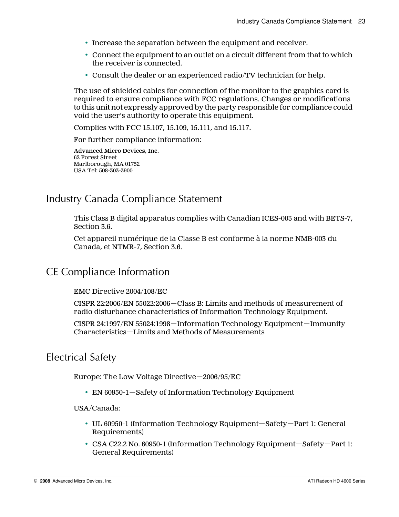- <span id="page-28-0"></span>• Increase the separation between the equipment and receiver.
- Connect the equipment to an outlet on a circuit different from that to which the receiver is connected.
- Consult the dealer or an experienced radio/TV technician for help.

The use of shielded cables for connection of the monitor to the graphics card is required to ensure compliance with FCC regulations. Changes or modifications to this unit not expressly approved by the party responsible for compliance could void the user's authority to operate this equipment.

Complies with FCC 15.107, 15.109, 15.111, and 15.117.

For further compliance information:

**Advanced Micro Devices, Inc.** 62 Forest Street Marlborough, MA 01752 USA Tel: 508-303-3900

### Industry Canada Compliance Statement

This Class B digital apparatus complies with Canadian ICES-003 and with BETS-7, Section 3.6.

Cet appareil numérique de la Classe B est conforme à la norme NMB-003 du Canada, et NTMR-7, Section 3.6.

### CE Compliance Information

EMC Directive 2004/108/EC

CISPR 22:2006/EN 55022:2006—Class B: Limits and methods of measurement of radio disturbance characteristics of Information Technology Equipment.

CISPR 24:1997/EN 55024:1998—Information Technology Equipment—Immunity Characteristics—Limits and Methods of Measurements

### Electrical Safety

Europe: The Low Voltage Directive—2006/95/EC

• EN 60950-1—Safety of Information Technology Equipment

#### USA/Canada:

- UL 60950-1 (Information Technology Equipment—Safety—Part 1: General Requirements)
- CSA C22.2 No. 60950-1 (Information Technology Equipment—Safety—Part 1: General Requirements)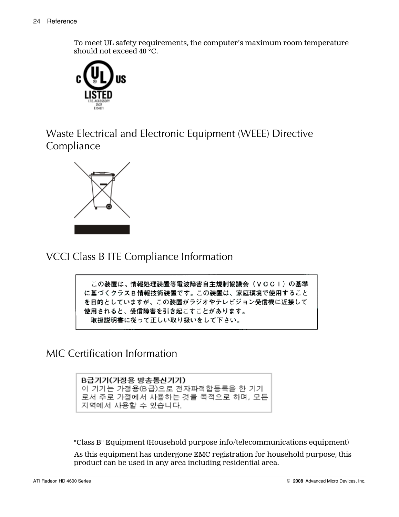<span id="page-29-0"></span>To meet UL safety requirements, the computer's maximum room temperature should not exceed 40 °C.



Waste Electrical and Electronic Equipment (WEEE) Directive Compliance



VCCI Class B ITE Compliance Information

この装置は、情報処理装置等電波障害自主規制協議会(VCCI)の基準 に基づくクラスB情報技術装置です。この装置は、家庭環境で使用すること を目的としていますが、この装置がラジオやテレビジョン受信機に近接して 使用されると、受信障害を引き起こすことがあります。 取扱説明書に従って正しい取り扱いをして下さい。

MIC Certification Information

B급기기(가정용 방송통신기기) 이 기기는 가정용(B급)으로 전자파적합등록을 한 기기 로서 주로 가정에서 사용하는 것을 목적으로 하며, 모든 지역에서 사용할 수 있습니다.

"Class B" Equipment (Household purpose info/telecommunications equipment)

As this equipment has undergone EMC registration for household purpose, this product can be used in any area including residential area.